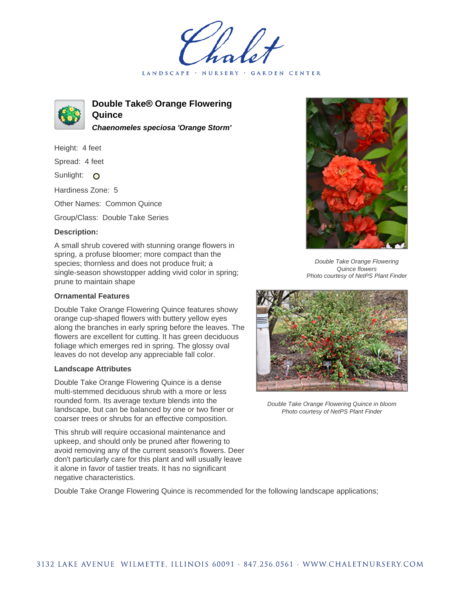LANDSCAPE · **GARDEN CENTER** 



**Double Take® Orange Flowering Quince Chaenomeles speciosa 'Orange Storm'**

Height: 4 feet

Spread: 4 feet

Sunlight: O

Hardiness Zone: 5

Other Names: Common Quince

Group/Class: Double Take Series

## **Description:**

A small shrub covered with stunning orange flowers in spring, a profuse bloomer; more compact than the species; thornless and does not produce fruit; a single-season showstopper adding vivid color in spring; prune to maintain shape

## **Ornamental Features**

Double Take Orange Flowering Quince features showy orange cup-shaped flowers with buttery yellow eyes along the branches in early spring before the leaves. The flowers are excellent for cutting. It has green deciduous foliage which emerges red in spring. The glossy oval leaves do not develop any appreciable fall color.

## **Landscape Attributes**

Double Take Orange Flowering Quince is a dense multi-stemmed deciduous shrub with a more or less rounded form. Its average texture blends into the landscape, but can be balanced by one or two finer or coarser trees or shrubs for an effective composition.

This shrub will require occasional maintenance and upkeep, and should only be pruned after flowering to avoid removing any of the current season's flowers. Deer don't particularly care for this plant and will usually leave it alone in favor of tastier treats. It has no significant negative characteristics.



Double Take Orange Flowering Quince flowers Photo courtesy of NetPS Plant Finder



Double Take Orange Flowering Quince in bloom Photo courtesy of NetPS Plant Finder

Double Take Orange Flowering Quince is recommended for the following landscape applications;